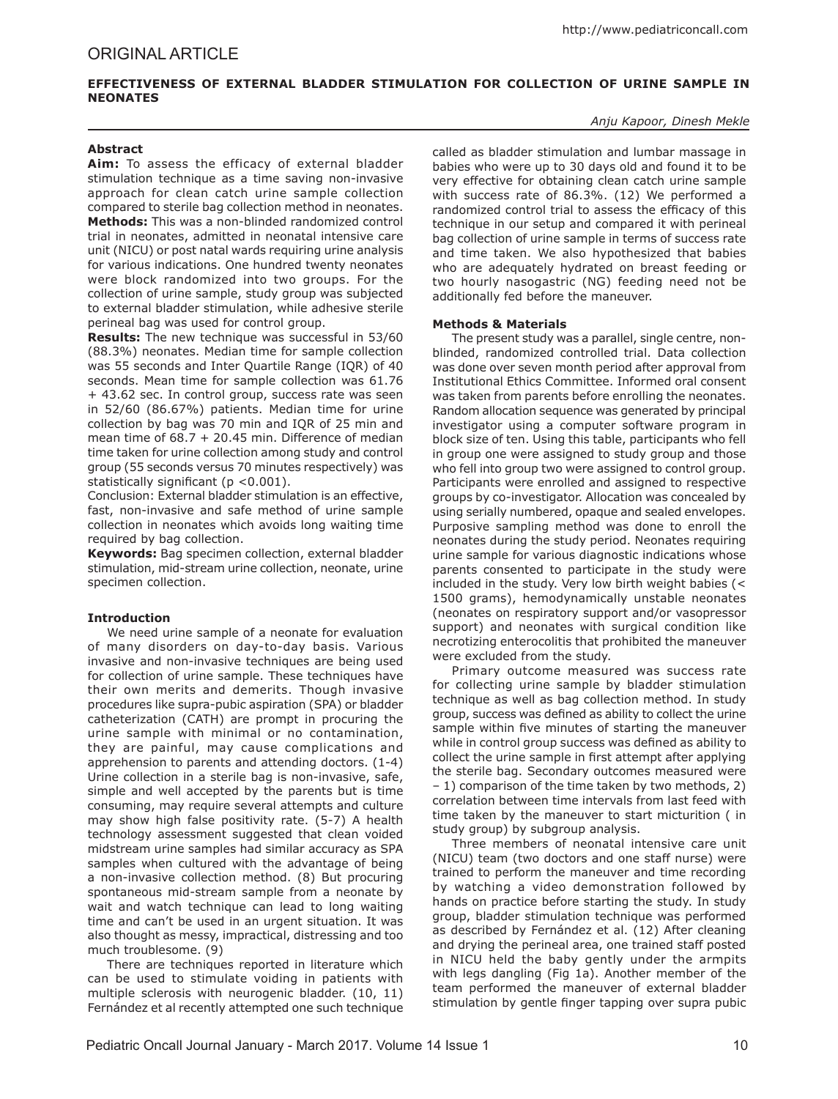# **EFFECTIVENESS OF EXTERNAL BLADDER STIMULATION FOR COLLECTION OF URINE SAMPLE IN NEONATES**

### *Anju Kapoor, Dinesh Mekle*

### **Abstract**

**Aim:** To assess the efficacy of external bladder stimulation technique as a time saving non-invasive approach for clean catch urine sample collection compared to sterile bag collection method in neonates. **Methods:** This was a non-blinded randomized control trial in neonates, admitted in neonatal intensive care unit (NICU) or post natal wards requiring urine analysis for various indications. One hundred twenty neonates were block randomized into two groups. For the collection of urine sample, study group was subjected to external bladder stimulation, while adhesive sterile perineal bag was used for control group.

**Results:** The new technique was successful in 53/60 (88.3%) neonates. Median time for sample collection was 55 seconds and Inter Quartile Range (IQR) of 40 seconds. Mean time for sample collection was 61.76 + 43.62 sec. In control group, success rate was seen in 52/60 (86.67%) patients. Median time for urine collection by bag was 70 min and IQR of 25 min and mean time of  $68.7 + 20.45$  min. Difference of median time taken for urine collection among study and control group (55 seconds versus 70 minutes respectively) was statistically significant (p <0.001).

Conclusion: External bladder stimulation is an effective, fast, non-invasive and safe method of urine sample collection in neonates which avoids long waiting time required by bag collection.

**Keywords:** Bag specimen collection, external bladder stimulation, mid-stream urine collection, neonate, urine specimen collection.

## **Introduction**

We need urine sample of a neonate for evaluation of many disorders on day-to-day basis. Various invasive and non-invasive techniques are being used for collection of urine sample. These techniques have their own merits and demerits. Though invasive procedures like supra-pubic aspiration (SPA) or bladder catheterization (CATH) are prompt in procuring the urine sample with minimal or no contamination, they are painful, may cause complications and apprehension to parents and attending doctors. (1-4) Urine collection in a sterile bag is non-invasive, safe, simple and well accepted by the parents but is time consuming, may require several attempts and culture may show high false positivity rate. (5-7) A health technology assessment suggested that clean voided midstream urine samples had similar accuracy as SPA samples when cultured with the advantage of being a non-invasive collection method. (8) But procuring spontaneous mid-stream sample from a neonate by wait and watch technique can lead to long waiting time and can't be used in an urgent situation. It was also thought as messy, impractical, distressing and too much troublesome. (9)

There are techniques reported in literature which can be used to stimulate voiding in patients with multiple sclerosis with neurogenic bladder. (10, 11) Fernández et al recently attempted one such technique

called as bladder stimulation and lumbar massage in babies who were up to 30 days old and found it to be very effective for obtaining clean catch urine sample with success rate of 86.3%. (12) We performed a randomized control trial to assess the efficacy of this technique in our setup and compared it with perineal bag collection of urine sample in terms of success rate and time taken. We also hypothesized that babies who are adequately hydrated on breast feeding or two hourly nasogastric (NG) feeding need not be additionally fed before the maneuver.

### **Methods & Materials**

The present study was a parallel, single centre, nonblinded, randomized controlled trial. Data collection was done over seven month period after approval from Institutional Ethics Committee. Informed oral consent was taken from parents before enrolling the neonates. Random allocation sequence was generated by principal investigator using a computer software program in block size of ten. Using this table, participants who fell in group one were assigned to study group and those who fell into group two were assigned to control group. Participants were enrolled and assigned to respective groups by co-investigator. Allocation was concealed by using serially numbered, opaque and sealed envelopes. Purposive sampling method was done to enroll the neonates during the study period. Neonates requiring urine sample for various diagnostic indications whose parents consented to participate in the study were included in the study. Very low birth weight babies (< 1500 grams), hemodynamically unstable neonates (neonates on respiratory support and/or vasopressor support) and neonates with surgical condition like necrotizing enterocolitis that prohibited the maneuver were excluded from the study.

Primary outcome measured was success rate for collecting urine sample by bladder stimulation technique as well as bag collection method. In study group, success was defined as ability to collect the urine sample within five minutes of starting the maneuver while in control group success was defined as ability to collect the urine sample in first attempt after applying the sterile bag. Secondary outcomes measured were – 1) comparison of the time taken by two methods, 2) correlation between time intervals from last feed with time taken by the maneuver to start micturition ( in study group) by subgroup analysis.

Three members of neonatal intensive care unit (NICU) team (two doctors and one staff nurse) were trained to perform the maneuver and time recording by watching a video demonstration followed by hands on practice before starting the study. In study group, bladder stimulation technique was performed as described by Fernández et al. (12) After cleaning and drying the perineal area, one trained staff posted in NICU held the baby gently under the armpits with legs dangling (Fig 1a). Another member of the team performed the maneuver of external bladder stimulation by gentle finger tapping over supra pubic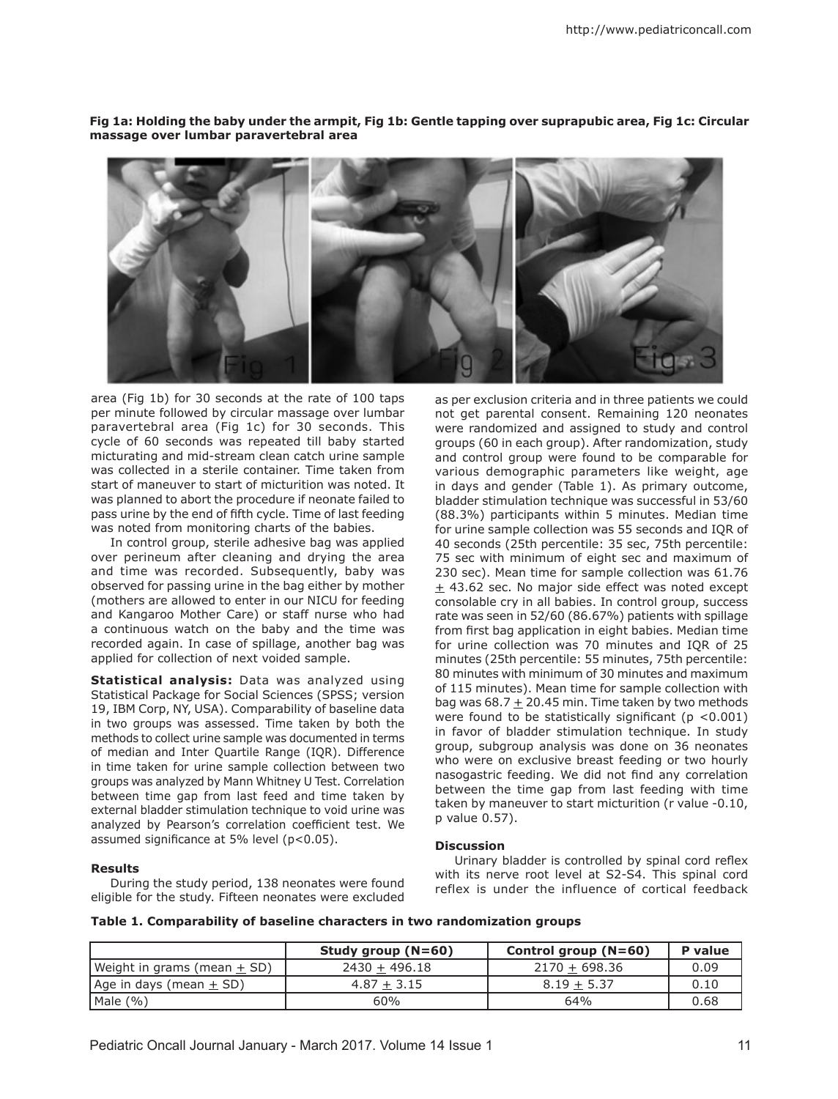**Fig 1a: Holding the baby under the armpit, Fig 1b: Gentle tapping over suprapubic area, Fig 1c: Circular massage over lumbar paravertebral area**

area (Fig 1b) for 30 seconds at the rate of 100 taps per minute followed by circular massage over lumbar paravertebral area (Fig 1c) for 30 seconds. This cycle of 60 seconds was repeated till baby started micturating and mid-stream clean catch urine sample was collected in a sterile container. Time taken from start of maneuver to start of micturition was noted. It was planned to abort the procedure if neonate failed to pass urine by the end of fifth cycle. Time of last feeding was noted from monitoring charts of the babies.

In control group, sterile adhesive bag was applied over perineum after cleaning and drying the area and time was recorded. Subsequently, baby was observed for passing urine in the bag either by mother (mothers are allowed to enter in our NICU for feeding and Kangaroo Mother Care) or staff nurse who had a continuous watch on the baby and the time was recorded again. In case of spillage, another bag was applied for collection of next voided sample.

**Statistical analysis:** Data was analyzed using Statistical Package for Social Sciences (SPSS; version 19, IBM Corp, NY, USA). Comparability of baseline data in two groups was assessed. Time taken by both the methods to collect urine sample was documented in terms of median and Inter Quartile Range (IQR). Difference in time taken for urine sample collection between two groups was analyzed by Mann Whitney U Test. Correlation between time gap from last feed and time taken by external bladder stimulation technique to void urine was analyzed by Pearson's correlation coefficient test. We assumed significance at 5% level (p<0.05).

During the study period, 138 neonates were found eligible for the study. Fifteen neonates were excluded

**Results**

as per exclusion criteria and in three patients we could not get parental consent. Remaining 120 neonates were randomized and assigned to study and control groups (60 in each group). After randomization, study and control group were found to be comparable for various demographic parameters like weight, age in days and gender (Table 1). As primary outcome, bladder stimulation technique was successful in 53/60 (88.3%) participants within 5 minutes. Median time for urine sample collection was 55 seconds and IQR of 40 seconds (25th percentile: 35 sec, 75th percentile: 75 sec with minimum of eight sec and maximum of 230 sec). Mean time for sample collection was 61.76  $\pm$  43.62 sec. No major side effect was noted except consolable cry in all babies. In control group, success rate was seen in 52/60 (86.67%) patients with spillage from first bag application in eight babies. Median time for urine collection was 70 minutes and IQR of 25 minutes (25th percentile: 55 minutes, 75th percentile: 80 minutes with minimum of 30 minutes and maximum of 115 minutes). Mean time for sample collection with bag was 68.7  $\pm$  20.45 min. Time taken by two methods were found to be statistically significant ( $p < 0.001$ ) in favor of bladder stimulation technique. In study group, subgroup analysis was done on 36 neonates who were on exclusive breast feeding or two hourly nasogastric feeding. We did not find any correlation between the time gap from last feeding with time taken by maneuver to start micturition (r value -0.10, p value 0.57).

### **Discussion**

Urinary bladder is controlled by spinal cord reflex with its nerve root level at S2-S4. This spinal cord reflex is under the influence of cortical feedback

|  |  | Table 1. Comparability of baseline characters in two randomization groups |  |
|--|--|---------------------------------------------------------------------------|--|
|  |  |                                                                           |  |
|  |  |                                                                           |  |

|                             | Study group $(N=60)$ | Control group $(N=60)$ | P value |
|-----------------------------|----------------------|------------------------|---------|
| Weight in grams (mean + SD) | $2430 + 496.18$      | $2170 + 698.36$        | 0.09    |
| Age in days (mean $\pm$ SD) | $4.87 + 3.15$        | $8.19 + 5.37$          | 0.10    |
| Male $(\% )$                | 60%                  | 64%                    | 0.68    |